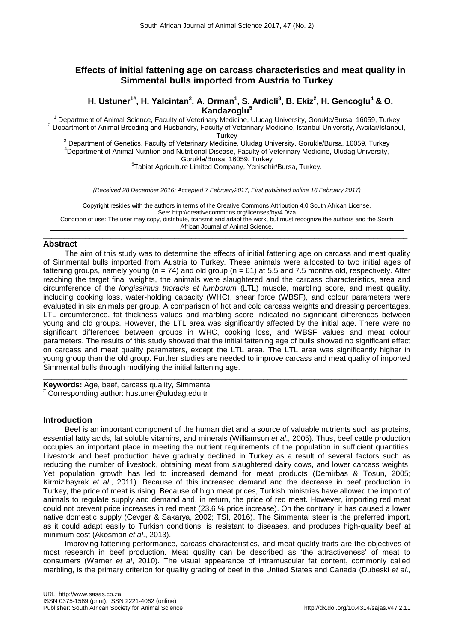# **Effects of initial fattening age on carcass characteristics and meat quality in Simmental bulls imported from Austria to Turkey**

# **H. Ustuner1# , H. Yalcintan<sup>2</sup> , A. Orman<sup>1</sup> , S. Ardicli<sup>3</sup> , B. Ekiz<sup>2</sup> , H. Gencoglu<sup>4</sup> & O. Kandazoglu<sup>5</sup>**

<sup>1</sup> Department of Animal Science, Faculty of Veterinary Medicine, Uludag University, Gorukle/Bursa, 16059, Turkey <sup>2</sup> Department of Animal Breeding and Husbandry, Faculty of Veterinary Medicine, Istanbul University, Avcılar/Istanbul, **Turkey** 

<sup>3</sup> Department of Genetics, Faculty of Veterinary Medicine, Uludag University, Gorukle/Bursa, 16059, Turkey <sup>4</sup>Department of Animal Nutrition and Nutritional Disease, Faculty of Veterinary Medicine, Uludag University, Gorukle/Bursa, 16059, Turkey

5 Tabiat Agriculture Limited Company, Yenisehir/Bursa, Turkey.

*(Received 28 December 2016; Accepted 7 February2017; First published online 16 February 2017)*

Copyright resides with the authors in terms of the Creative Commons Attribution 4.0 South African License. See: http://creativecommons.org/licenses/by/4.0/za Condition of use: The user may copy, distribute, transmit and adapt the work, but must recognize the authors and the South African Journal of Animal Science.

\_\_\_\_\_\_\_\_\_\_\_\_\_\_\_\_\_\_\_\_\_\_\_\_\_\_\_\_\_\_\_\_\_\_\_\_\_\_\_\_\_\_\_\_\_\_\_\_\_\_\_\_\_\_\_\_\_\_\_\_\_\_\_\_\_\_\_\_\_\_\_\_\_\_\_\_\_\_\_\_\_\_\_\_\_\_

## **Abstract**

The aim of this study was to determine the effects of initial fattening age on carcass and meat quality of Simmental bulls imported from Austria to Turkey. These animals were allocated to two initial ages of fattening groups, namely young ( $n = 74$ ) and old group ( $n = 61$ ) at 5.5 and 7.5 months old, respectively. After reaching the target final weights, the animals were slaughtered and the carcass characteristics, area and circumference of the *longissimus thoracis et lumborum* (LTL) muscle, marbling score, and meat quality, including cooking loss, water-holding capacity (WHC), shear force (WBSF), and colour parameters were evaluated in six animals per group. A comparison of hot and cold carcass weights and dressing percentages, LTL circumference, fat thickness values and marbling score indicated no significant differences between young and old groups. However, the LTL area was significantly affected by the initial age. There were no significant differences between groups in WHC, cooking loss, and WBSF values and meat colour parameters. The results of this study showed that the initial fattening age of bulls showed no significant effect on carcass and meat quality parameters, except the LTL area. The LTL area was significantly higher in young group than the old group. Further studies are needed to improve carcass and meat quality of imported Simmental bulls through modifying the initial fattening age.

\_\_\_\_\_\_\_\_\_\_\_\_\_\_\_\_\_\_\_\_\_\_\_\_\_\_\_\_\_\_\_\_\_\_\_\_\_\_\_\_\_\_\_\_\_\_\_\_\_\_\_\_\_\_\_\_\_\_\_\_\_\_\_\_\_\_\_\_\_\_\_\_\_\_\_\_\_\_\_\_\_\_\_\_\_\_

**Keywords:** Age, beef, carcass quality, Simmental Corresponding author: hustuner@uludag.edu.tr

## **Introduction**

Beef is an important component of the human diet and a source of valuable nutrients such as proteins, essential fatty acids, fat soluble vitamins, and minerals (Williamson *et al*., 2005). Thus, beef cattle production occupies an important place in meeting the nutrient requirements of the population in sufficient quantities. Livestock and beef production have gradually declined in Turkey as a result of several factors such as reducing the number of livestock, obtaining meat from slaughtered dairy cows, and lower carcass weights. Yet population growth has led to increased demand for meat products (Demirbas & Tosun, 2005; Kirmizibayrak *et al*., 2011). Because of this increased demand and the decrease in beef production in Turkey, the price of meat is rising. Because of high meat prices, Turkish ministries have allowed the import of animals to regulate supply and demand and, in return, the price of red meat. However, importing red meat could not prevent price increases in red meat (23.6 % price increase). On the contrary, it has caused a lower native domestic supply (Cevger & Sakarya, 2002; TSI, 2016). The Simmental steer is the preferred import, as it could adapt easily to Turkish conditions, is resistant to diseases, and produces high-quality beef at minimum cost (Akosman *et al*., 2013).

Improving fattening performance, carcass characteristics, and meat quality traits are the objectives of most research in beef production. Meat quality can be described as 'the attractiveness' of meat to consumers (Warner *et al*, 2010). The visual appearance of intramuscular fat content, commonly called marbling, is the primary criterion for quality grading of beef in the United States and Canada (Dubeski *et al*.,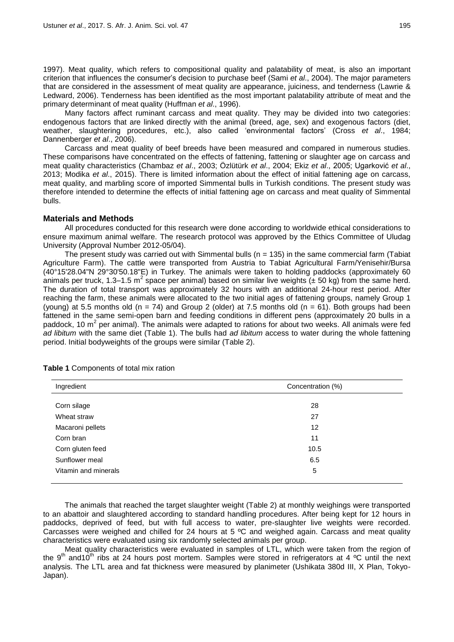1997). Meat quality, which refers to compositional quality and palatability of meat, is also an important criterion that influences the consumer's decision to purchase beef (Sami *et al*., 2004). The major parameters that are considered in the assessment of meat quality are appearance, juiciness, and tenderness (Lawrie & Ledward, 2006). Tenderness has been identified as the most important palatability attribute of meat and the primary determinant of meat quality (Huffman *et al*., 1996).

Many factors affect ruminant carcass and meat quality. They may be divided into two categories: endogenous factors that are linked directly with the animal (breed, age, sex) and exogenous factors (diet, weather, slaughtering procedures, etc.), also called 'environmental factors' (Cross *et al*., 1984; Dannenberger *et al*., 2006).

Carcass and meat quality of beef breeds have been measured and compared in numerous studies. These comparisons have concentrated on the effects of fattening, fattening or slaughter age on carcass and meat quality characteristics (Chambaz *et al*., 2003; Özlütürk *et al*., 2004; Ekiz *et al*., 2005; Ugarković *et al*., 2013; Modika *et al*., 2015). There is limited information about the effect of initial fattening age on carcass, meat quality, and marbling score of imported Simmental bulls in Turkish conditions. The present study was therefore intended to determine the effects of initial fattening age on carcass and meat quality of Simmental bulls.

### **Materials and Methods**

All procedures conducted for this research were done according to worldwide ethical considerations to ensure maximum animal welfare. The research protocol was approved by the Ethics Committee of Uludag University (Approval Number 2012-05/04).

The present study was carried out with Simmental bulls ( $n = 135$ ) in the same commercial farm (Tabiat Agriculture Farm). The cattle were transported from Austria to Tabiat Agricultural Farm/Yenisehir/Bursa (40°15'28.04"N 29°30'50.18"E) in Turkey. The animals were taken to holding paddocks (approximately 60 animals per truck, 1.3–1.5 m<sup>2</sup> space per animal) based on similar live weights ( $\pm$  50 kg) from the same herd. The duration of total transport was approximately 32 hours with an additional 24-hour rest period. After reaching the farm, these animals were allocated to the two initial ages of fattening groups, namely Group 1 (young) at 5.5 months old (n = 74) and Group 2 (older) at 7.5 months old (n =  $61$ ). Both groups had been fattened in the same semi-open barn and feeding conditions in different pens (approximately 20 bulls in a paddock, 10 m<sup>2</sup> per animal). The animals were adapted to rations for about two weeks. All animals were fed *ad libitum* with the same diet (Table 1). The bulls had *ad libitum* access to water during the whole fattening period. Initial bodyweights of the groups were similar (Table 2).

| Ingredient           | Concentration (%) |  |  |  |  |
|----------------------|-------------------|--|--|--|--|
|                      |                   |  |  |  |  |
| Corn silage          | 28                |  |  |  |  |
| Wheat straw          | 27                |  |  |  |  |
| Macaroni pellets     | 12                |  |  |  |  |
| Corn bran            | 11                |  |  |  |  |
| Corn gluten feed     | 10.5              |  |  |  |  |
| Sunflower meal       | 6.5               |  |  |  |  |
| Vitamin and minerals | 5                 |  |  |  |  |

**Table 1** Components of total mix ration

The animals that reached the target slaughter weight (Table 2) at monthly weighings were transported to an abattoir and slaughtered according to standard handling procedures. After being kept for 12 hours in paddocks, deprived of feed, but with full access to water, pre-slaughter live weights were recorded. Carcasses were weighed and chilled for 24 hours at 5 ºC and weighed again. Carcass and meat quality characteristics were evaluated using six randomly selected animals per group.

Meat quality characteristics were evaluated in samples of LTL, which were taken from the region of the 9<sup>th</sup> and10<sup>th</sup> ribs at 24 hours post mortem. Samples were stored in refrigerators at 4 °C until the next analysis. The LTL area and fat thickness were measured by planimeter (Ushikata 380d III, X Plan, Tokyo-Japan).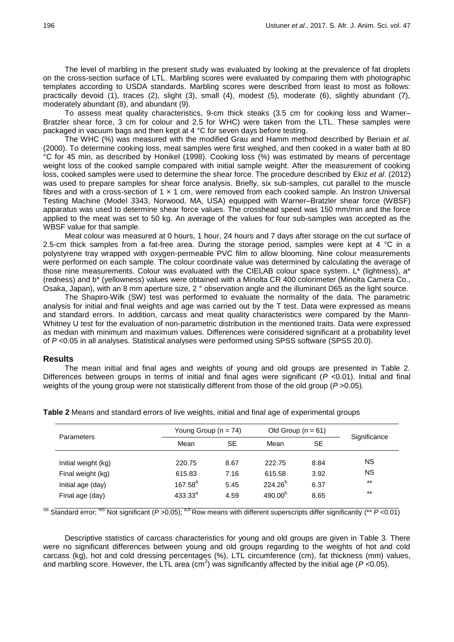The level of marbling in the present study was evaluated by looking at the prevalence of fat droplets on the cross-section surface of LTL. Marbling scores were evaluated by comparing them with photographic templates according to USDA standards. Marbling scores were described from least to most as follows: practically devoid (1), traces (2), slight (3), small (4), modest (5), moderate (6), slightly abundant (7), moderately abundant (8), and abundant (9).

To assess meat quality characteristics, 9-cm thick steaks (3.5 cm for cooking loss and Warner– Bratzler shear force, 3 cm for colour and 2.5 for WHC) were taken from the LTL. These samples were packaged in vacuum bags and then kept at 4 °C for seven days before testing.

The WHC (%) was measured with the modified Grau and Hamm method described by Beriain *et al.* (2000). To determine cooking loss, meat samples were first weighed, and then cooked in a water bath at 80 °C for 45 min, as described by Honikel (1998). Cooking loss (%) was estimated by means of percentage weight loss of the cooked sample compared with initial sample weight. After the measurement of cooking loss, cooked samples were used to determine the shear force. The procedure described by Ekiz *et al*. (2012) was used to prepare samples for shear force analysis. Briefly, six sub-samples, cut parallel to the muscle fibres and with a cross-section of 1 x 1 cm, were removed from each cooked sample. An Instron Universal Testing Machine (Model 3343, Norwood, MA, USA) equipped with Warner–Bratzler shear force (WBSF) apparatus was used to determine shear force values. The crosshead speed was 150 mm/min and the force applied to the meat was set to 50 kg. An average of the values for four sub-samples was accepted as the WBSF value for that sample.

Meat colour was measured at 0 hours, 1 hour, 24 hours and 7 days after storage on the cut surface of 2.5-cm thick samples from a fat-free area. During the storage period, samples were kept at 4 °C in a polystyrene tray wrapped with oxygen-permeable PVC film to allow blooming. Nine colour measurements were performed on each sample. The colour coordinate value was determined by calculating the average of those nine measurements. Colour was evaluated with the CIELAB colour space system. L\* (lightness), a\* (redness) and b\* (yellowness) values were obtained with a Minolta CR 400 colorimeter (Minolta Camera Co., Osaka, Japan), with an 8 mm aperture size, 2 ° observation angle and the illuminant D65 as the light source.

The Shapiro-Wilk (SW) test was performed to evaluate the normality of the data. The parametric analysis for initial and final weights and age was carried out by the T test. Data were expressed as means and standard errors. In addition, carcass and meat quality characteristics were compared by the Mann-Whitney U test for the evaluation of non-parametric distribution in the mentioned traits. Data were expressed as median with minimum and maximum values. Differences were considered significant at a probability level of *P* <0.05 in all analyses. Statistical analyses were performed using SPSS software (SPSS 20.0).

### **Results**

The mean initial and final ages and weights of young and old groups are presented in Table 2. Differences between groups in terms of initial and final ages were significant (*P* <0.01). Initial and final weights of the young group were not statistically different from those of the old group (*P* >0.05).

| Parameters          | Young Group ( $n = 74$ ) |           | Old Group $(n = 61)$ |           |              |
|---------------------|--------------------------|-----------|----------------------|-----------|--------------|
|                     | Mean                     | <b>SE</b> | Mean                 | <b>SE</b> | Significance |
| Initial weight (kg) | 220.75                   | 8.67      | 222.75               | 8.84      | ΝS           |
| Final weight (kg)   | 615.83                   | 7.16      | 615.58               | 3.92      | ΝS           |
| Initial age (day)   | $167.58^{a}$             | 5.45      | $224.26^{b}$         | 6.37      | $***$        |
| Final age (day)     | $433.33^{a}$             | 4.59      | 490.00 <sup>b</sup>  | 8.65      | $***$        |
|                     |                          |           |                      |           |              |

**Table 2** Means and standard errors of live weights, initial and final age of experimental groups

<sup>SE</sup> Standard error; <sup>NS</sup> Not significant ( $P > 0.05$ ); <sup>a,b</sup> Row means with different superscripts differ significantly (\*\*  $P < 0.01$ )

Descriptive statistics of carcass characteristics for young and old groups are given in Table 3. There were no significant differences between young and old groups regarding to the weights of hot and cold carcass (kg), hot and cold dressing percentages (%), LTL circumference (cm), fat thickness (mm) values, and marbling score. However, the LTL area (cm<sup>2</sup>) was significantly affected by the initial age (P < 0.05).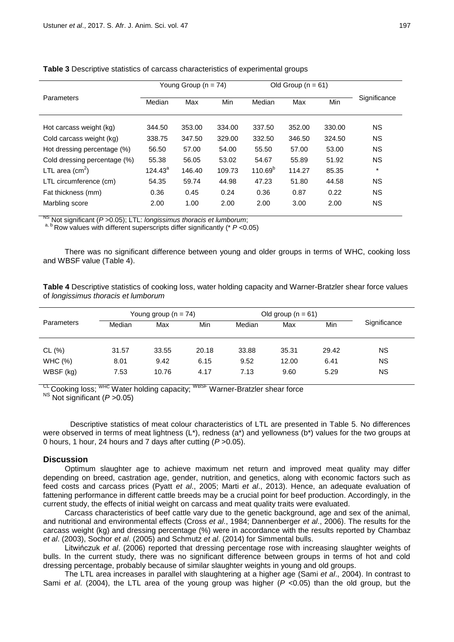|                              | Young Group ( $n = 74$ ) |        |        | Old Group ( $n = 61$ ) |        |        |              |
|------------------------------|--------------------------|--------|--------|------------------------|--------|--------|--------------|
| Parameters                   | Median                   | Max    | Min    | Median                 | Max    | Min    | Significance |
| Hot carcass weight (kg)      | 344.50                   | 353.00 | 334.00 | 337.50                 | 352.00 | 330.00 | <b>NS</b>    |
| Cold carcass weight (kg)     | 338.75                   | 347.50 | 329.00 | 332.50                 | 346.50 | 324.50 | <b>NS</b>    |
| Hot dressing percentage (%)  | 56.50                    | 57.00  | 54.00  | 55.50                  | 57.00  | 53.00  | <b>NS</b>    |
| Cold dressing percentage (%) | 55.38                    | 56.05  | 53.02  | 54.67                  | 55.89  | 51.92  | <b>NS</b>    |
| LTL area $(cm2)$             | $124.43^a$               | 146.40 | 109.73 | 110.69 <sup>b</sup>    | 114.27 | 85.35  | $\star$      |
| LTL circumference (cm)       | 54.35                    | 59.74  | 44.98  | 47.23                  | 51.80  | 44.58  | <b>NS</b>    |
| Fat thickness (mm)           | 0.36                     | 0.45   | 0.24   | 0.36                   | 0.87   | 0.22   | <b>NS</b>    |
| Marbling score               | 2.00                     | 1.00   | 2.00   | 2.00                   | 3.00   | 2.00   | <b>NS</b>    |

#### **Table 3** Descriptive statistics of carcass characteristics of experimental groups

Not significant ( $P > 0.05$ ); LTL: *longissimus thoracis et lumborum*;

 $a, b$  Row values with different superscripts differ significantly (\*  $P$  < 0.05)

There was no significant difference between young and older groups in terms of WHC, cooking loss and WBSF value (Table 4).

**Table 4** Descriptive statistics of cooking loss, water holding capacity and Warner-Bratzler shear force values of *longissimus thoracis et lumborum*

|                | Young group (n = 74) |       |       | Old group $(n = 61)$ |       |       |              |
|----------------|----------------------|-------|-------|----------------------|-------|-------|--------------|
| Parameters     | Median               | Max   | Min   | Median               | Max   | Min   | Significance |
| CL (%)         | 31.57                | 33.55 | 20.18 | 33.88                | 35.31 | 29.42 | ΝS           |
| <b>WHC (%)</b> | 8.01                 | 9.42  | 6.15  | 9.52                 | 12.00 | 6.41  | <b>NS</b>    |
| WBSF (kg)      | 7.53                 | 10.76 | 4.17  | 7.13                 | 9.60  | 5.29  | ΝS           |

<sup>CL</sup> Cooking loss: <sup>WHC</sup> Water holding capacity: <sup>WBSF</sup> Warner-Bratzler shear force

NS Not significant (*P* >0.05)

Descriptive statistics of meat colour characteristics of LTL are presented in Table 5. No differences were observed in terms of meat lightness (L\*), redness (a\*) and yellowness (b\*) values for the two groups at 0 hours, 1 hour, 24 hours and 7 days after cutting (*P* >0.05).

### **Discussion**

Optimum slaughter age to achieve maximum net return and improved meat quality may differ depending on breed, castration age, gender, nutrition, and genetics, along with economic factors such as feed costs and carcass prices (Pyatt *et al*., 2005; Marti *et al*., 2013). Hence, an adequate evaluation of fattening performance in different cattle breeds may be a crucial point for beef production. Accordingly, in the current study, the effects of initial weight on carcass and meat quality traits were evaluated.

Carcass characteristics of beef cattle vary due to the genetic background, age and sex of the animal, and nutritional and environmental effects (Cross *et al*., 1984; Dannenberger *et al*., 2006). The results for the carcass weight (kg) and dressing percentage (%) were in accordance with the results reported by Chambaz *et al*. (2003), Sochor *et al*. (2005) and Schmutz *et al*. (2014) for Simmental bulls.

Litwińczuk *et al*. (2006) reported that dressing percentage rose with increasing slaughter weights of bulls. In the current study, there was no significant difference between groups in terms of hot and cold dressing percentage, probably because of similar slaughter weights in young and old groups.

The LTL area increases in parallel with slaughtering at a higher age (Sami *et al*., 2004). In contrast to Sami *et al*. (2004), the LTL area of the young group was higher (*P* <0.05) than the old group, but the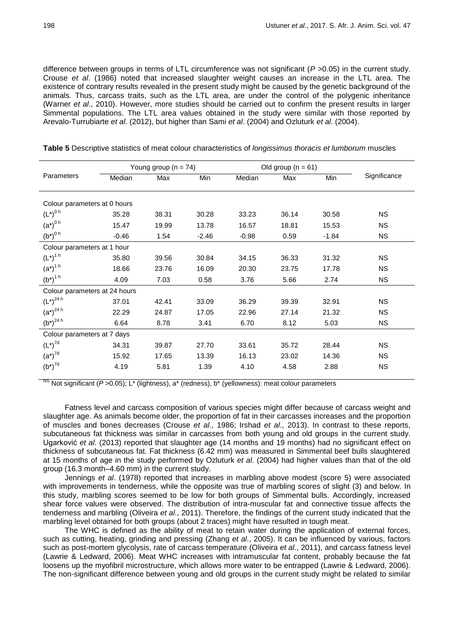difference between groups in terms of LTL circumference was not significant (*P* >0.05) in the current study. Crouse *et al*. (1986) noted that increased slaughter weight causes an increase in the LTL area. The existence of contrary results revealed in the present study might be caused by the genetic background of the animals. Thus, carcass traits, such as the LTL area, are under the control of the polygenic inheritance (Warner *et al*., 2010). However, more studies should be carried out to confirm the present results in larger Simmental populations. The LTL area values obtained in the study were similar with those reported by Arevalo-Turrubiarte *et al*. (2012), but higher than Sami *et al*. (2004) and Ozluturk *et al*. (2004).

|                               |         | Young group ( $n = 74$ ) |         |         | Old group $(n = 61)$ |         |              |  |
|-------------------------------|---------|--------------------------|---------|---------|----------------------|---------|--------------|--|
| Parameters                    | Median  | Max                      | Min     | Median  | Max                  | Min     | Significance |  |
|                               |         |                          |         |         |                      |         |              |  |
| Colour parameters at 0 hours  |         |                          |         |         |                      |         |              |  |
| $(L^*)^{0 h}$                 | 35.28   | 38.31                    | 30.28   | 33.23   | 36.14                | 30.58   | <b>NS</b>    |  |
| $(a^*)^{0 h}$                 | 15.47   | 19.99                    | 13.78   | 16.57   | 18.81                | 15.53   | <b>NS</b>    |  |
| $(b^*)^{0 h}$                 | $-0.46$ | 1.54                     | $-2.46$ | $-0.98$ | 0.59                 | $-1.84$ | <b>NS</b>    |  |
| Colour parameters at 1 hour   |         |                          |         |         |                      |         |              |  |
| $(L^*)^{1 h}$                 | 35.80   | 39.56                    | 30.84   | 34.15   | 36.33                | 31.32   | <b>NS</b>    |  |
| $(a^*)^{1 h}$                 | 18.66   | 23.76                    | 16.09   | 20.30   | 23.75                | 17.78   | <b>NS</b>    |  |
| $(b^*)^{1 h}$                 | 4.09    | 7.03                     | 0.58    | 3.76    | 5.66                 | 2.74    | <b>NS</b>    |  |
| Colour parameters at 24 hours |         |                          |         |         |                      |         |              |  |
| $(L^*)^{24 h}$                | 37.01   | 42.41                    | 33.09   | 36.29   | 39.39                | 32.91   | NS.          |  |
| $(a^*)^{24 h}$                | 22.29   | 24.87                    | 17.05   | 22.96   | 27.14                | 21.32   | <b>NS</b>    |  |
| $(b^*)^{24 h}$                | 6.64    | 8.78                     | 3.41    | 6.70    | 8.12                 | 5.03    | <b>NS</b>    |  |
| Colour parameters at 7 days   |         |                          |         |         |                      |         |              |  |
| $(L^{*})^{7d}$                | 34.31   | 39.87                    | 27.70   | 33.61   | 35.72                | 28.44   | <b>NS</b>    |  |
| $(a^*)^{7d}$                  | 15.92   | 17.65                    | 13.39   | 16.13   | 23.02                | 14.36   | <b>NS</b>    |  |
| $(b^*)^{7d}$                  | 4.19    | 5.81                     | 1.39    | 4.10    | 4.58                 | 2.88    | <b>NS</b>    |  |
|                               |         |                          |         |         |                      |         |              |  |

**Table 5** Descriptive statistics of meat colour characteristics of *longissimus thoracis et lumborum* muscles

<sup>NS</sup> Not significant (*P* > 0.05); L<sup>\*</sup> (lightness), a<sup>\*</sup> (redness), b<sup>\*</sup> (yellowness): meat colour parameters

Fatness level and carcass composition of various species might differ because of carcass weight and slaughter age. As animals become older, the proportion of fat in their carcasses increases and the proportion of muscles and bones decreases (Crouse *et al*., 1986; Irshad *et al*., 2013). In contrast to these reports, subcutaneous fat thickness was similar in carcasses from both young and old groups in the current study. Ugarković *et al*. (2013) reported that slaughter age (14 months and 19 months) had no significant effect on thickness of subcutaneous fat. Fat thickness (6.42 mm) was measured in Simmental beef bulls slaughtered at 15 months of age in the study performed by Ozluturk *et al*. (2004) had higher values than that of the old group (16.3 month–4.60 mm) in the current study.

Jennings *et al*. (1978) reported that increases in marbling above modest (score 5) were associated with improvements in tenderness, while the opposite was true of marbling scores of slight (3) and below. In this study, marbling scores seemed to be low for both groups of Simmental bulls. Accordingly, increased shear force values were observed. The distribution of intra-muscular fat and connective tissue affects the tenderness and marbling (Oliveira *et al*., 2011). Therefore, the findings of the current study indicated that the marbling level obtained for both groups (about 2 traces) might have resulted in tough meat.

The WHC is defined as the ability of meat to retain water during the application of external forces, such as cutting, heating, grinding and pressing (Zhang *et al*., 2005). It can be influenced by various, factors such as post-mortem glycolysis, rate of carcass temperature (Oliveira *et al*., 2011), and carcass fatness level (Lawrie & Ledward, 2006). Meat WHC increases with intramuscular fat content, probably because the fat loosens up the myofibril microstructure, which allows more water to be entrapped (Lawrie & Ledward, 2006). The non-significant difference between young and old groups in the current study might be related to similar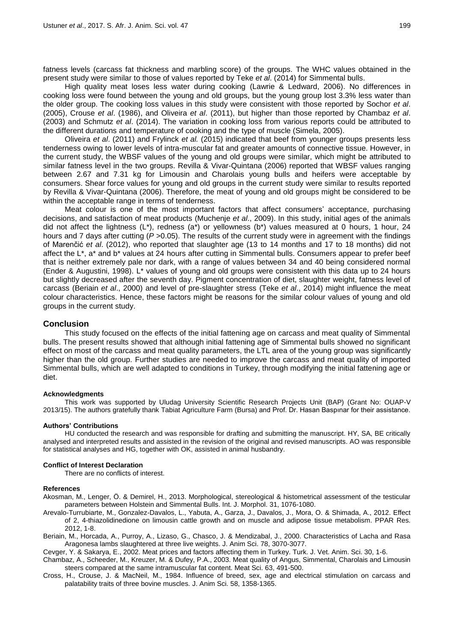fatness levels (carcass fat thickness and marbling score) of the groups. The WHC values obtained in the present study were similar to those of values reported by Teke *et al*. (2014) for Simmental bulls.

High quality meat loses less water during cooking (Lawrie & Ledward, 2006). No differences in cooking loss were found between the young and old groups, but the young group lost 3.3% less water than the older group. The cooking loss values in this study were consistent with those reported by Sochor *et al*. (2005), Crouse *et al*. (1986), and Oliveira *et al*. (2011), but higher than those reported by Chambaz *et al*. (2003) and Schmutz *et al*. (2014). The variation in cooking loss from various reports could be attributed to the different durations and temperature of cooking and the type of muscle (Simela, 2005).

Oliveira *et al*. (2011) and Frylinck *et al.* (2015) indicated that beef from younger groups presents less tenderness owing to lower levels of intra-muscular fat and greater amounts of connective tissue. However, in the current study, the WBSF values of the young and old groups were similar, which might be attributed to similar fatness level in the two groups. Revilla & Vivar-Quintana (2006) reported that WBSF values ranging between 2.67 and 7.31 kg for Limousin and Charolais young bulls and heifers were acceptable by consumers. Shear force values for young and old groups in the current study were similar to results reported by Revilla & Vivar-Quintana (2006). Therefore, the meat of young and old groups might be considered to be within the acceptable range in terms of tenderness.

Meat colour is one of the most important factors that affect consumers' acceptance, purchasing decisions, and satisfaction of meat products (Muchenje *et al*., 2009). In this study, initial ages of the animals did not affect the lightness (L\*), redness (a\*) or yellowness (b\*) values measured at 0 hours, 1 hour, 24 hours and 7 days after cutting ( $P > 0.05$ ). The results of the current study were in agreement with the findings of Marenčić *et al*. (2012), who reported that slaughter age (13 to 14 months and 17 to 18 months) did not affect the L\*, a\* and b\* values at 24 hours after cutting in Simmental bulls. Consumers appear to prefer beef that is neither extremely pale nor dark, with a range of values between 34 and 40 being considered normal (Ender & Augustini, 1998). L\* values of young and old groups were consistent with this data up to 24 hours but slightly decreased after the seventh day. Pigment concentration of diet, slaughter weight, fatness level of carcass (Beriain *et al*., 2000) and level of pre-slaughter stress (Teke *et al*., 2014) might influence the meat colour characteristics. Hence, these factors might be reasons for the similar colour values of young and old groups in the current study.

#### **Conclusion**

This study focused on the effects of the initial fattening age on carcass and meat quality of Simmental bulls. The present results showed that although initial fattening age of Simmental bulls showed no significant effect on most of the carcass and meat quality parameters, the LTL area of the young group was significantly higher than the old group. Further studies are needed to improve the carcass and meat quality of imported Simmental bulls, which are well adapted to conditions in Turkey, through modifying the initial fattening age or diet.

#### **Acknowledgments**

This work was supported by Uludag University Scientific Research Projects Unit (BAP) (Grant No: OUAP-V 2013/15). The authors gratefully thank Tabiat Agriculture Farm (Bursa) and Prof. Dr. Hasan Baspınar for their assistance.

#### **Authors' Contributions**

HU conducted the research and was responsible for drafting and submitting the manuscript. HY, SA, BE critically analysed and interpreted results and assisted in the revision of the original and revised manuscripts. AO was responsible for statistical analyses and HG, together with OK, assisted in animal husbandry.

#### **Conflict of Interest Declaration**

There are no conflicts of interest.

#### **References**

Akosman, M., Lenger, Ö. & Demirel, H., 2013. Morphological, stereological & histometrical assessment of the testicular parameters between Holstein and Simmental Bulls. Int. J. Morphol. 31, 1076-1080.

Arevalo-Turrubiarte, M., Gonzalez-Davalos, L., Yabuta, A., Garza, J., Davalos, J., Mora, O. & Shimada, A., 2012. Effect of 2, 4-thiazolidinedione on limousin cattle growth and on muscle and adipose tissue metabolism. PPAR Res. 2012, 1-8.

Beriain, M., Horcada, A., Purroy, A., Lizaso, G., Chasco, J. & Mendizabal, J., 2000. Characteristics of Lacha and Rasa Aragonesa lambs slaughtered at three live weights. J. Anim Sci. 78, 3070-3077.

Cevger, Y. & Sakarya, E., 2002. Meat prices and factors affecting them in Turkey. Turk. J. Vet. Anim. Sci. 30, 1-6.

Chambaz, A., Scheeder, M., Kreuzer, M. & Dufey, P.A., 2003. Meat quality of Angus, Simmental, Charolais and Limousin steers compared at the same intramuscular fat content. Meat Sci. 63, 491-500.

Cross, H., Crouse, J. & MacNeil, M., 1984. Influence of breed, sex, age and electrical stimulation on carcass and palatability traits of three bovine muscles. J. Anim Sci. 58, 1358-1365.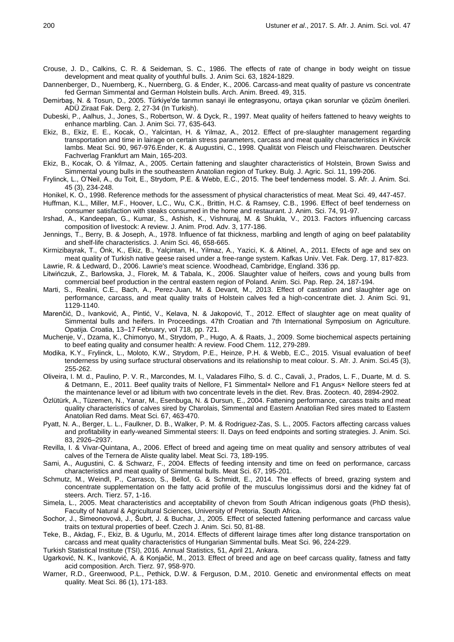Crouse, J. D., Calkins, C. R. & Seideman, S. C., 1986. The effects of rate of change in body weight on tissue development and meat quality of youthful bulls. J. Anim Sci. 63, 1824-1829.

Dannenberger, D., Nuernberg, K., Nuernberg, G. & Ender, K., 2006. Carcass-and meat quality of pasture vs concentrate fed German Simmental and German Holstein bulls. Arch. Anim. Breed. 49, 315.

Demirbaş, N. & Tosun, D., 2005. Türkiye'de tarımın sanayi ile entegrasyonu, ortaya çıkan sorunlar ve çözüm önerileri. ADÜ Ziraat Fak. Derg. 2, 27-34 (In Turkish).

Dubeski, P., Aalhus, J., Jones, S., Robertson, W. & Dyck, R., 1997. Meat quality of heifers fattened to heavy weights to enhance marbling. Can. J. Anim Sci. 77, 635-643.

- Ekiz, B., Ekiz, E. E., Kocak, O., Yalcintan, H. & Yilmaz, A., 2012. Effect of pre-slaughter management regarding transportation and time in lairage on certain stress parameters, carcass and meat quality characteristics in Kivircik lambs. Meat Sci. 90, 967-976.Ender, K. & Augustini, C., 1998. Qualität von Fleisch und Fleischwaren. Deutscher Fachverlag Frankfurt am Main, 165-203.
- Ekiz, B., Kocak, O. & Yilmaz, A., 2005. Certain fattening and slaughter characteristics of Holstein, Brown Swiss and Simmental young bulls in the southeastern Anatolian region of Turkey. Bulg. J. Agric. Sci. 11, 199-206.
- Frylinck, L., O'Neil, A., du Toit, E., Strydom, P.E. & Webb, E.C., 2015. The beef tenderness model. S. Afr. J. Anim. Sci. 45 (3), 234-248.

Honikel, K. O., 1998. Reference methods for the assessment of physical characteristics of meat. Meat Sci. 49, 447-457.

Huffman, K.L., Miller, M.F., Hoover, L.C., Wu, C.K., Brittin, H.C. & Ramsey, C.B., 1996. Effect of beef tenderness on consumer satisfaction with steaks consumed in the home and restaurant. J. Anim. Sci. 74, 91-97.

Irshad, A., Kandeepan, G., Kumar, S., Ashish, K., Vishnuraj, M. & Shukla, V., 2013. Factors influencing carcass composition of livestock: A review. J. Anim. Prod. Adv. 3, 177-186.

- Jennings, T., Berry, B. & Joseph, A., 1978. Influence of fat thickness, marbling and length of aging on beef palatability and shelf-life characteristics. J. Anim Sci. 46, 658-665.
- Kirmizibayrak, T., Önk, K., Ekiz, B., Yalçintan, H., Yilmaz, A., Yazici, K. & Altinel, A., 2011. Efects of age and sex on meat quality of Turkish native geese raised under a free-range system. Kafkas Univ. Vet. Fak. Derg. 17, 817-823.

Lawrie, R. & Ledward, D., 2006. Lawrie's meat science. Woodhead, Cambridge, England. 336 pp.

- Litwińczuk, Z., Barlowska, J., Florek, M. & Tabala, K., 2006. Slaughter value of heifers, cows and young bulls from commercial beef production in the central eastern region of Poland. Anim. Sci. Pap. Rep. 24, 187-194.
- Marti, S., Realini, C.E., Bach, A., Perez-Juan, M. & Devant, M., 2013. Effect of castration and slaughter age on performance, carcass, and meat quality traits of Holstein calves fed a high-concentrate diet. J. Anim Sci. 91, 1129-1140.
- Marenčić, D., Ivanković, A., Pintić, V., Kelava, N. & Jakopović, T., 2012. Effect of slaughter age on meat quality of Simmental bulls and heifers. In Proceedings. 47th Croatian and 7th International Symposium on Agriculture. Opatija. Croatia, 13–17 February, vol 718, pp. 721.
- Muchenje, V., Dzama, K., Chimonyo, M., Strydom, P., Hugo, A. & Raats, J., 2009. Some biochemical aspects pertaining to beef eating quality and consumer health: A review. Food Chem. 112, 279-289.
- Modika, K.Y., Frylinck, L., Moloto, K.W., Strydom, P.E., Heinze, P.H. & Webb, E.C., 2015. Visual evaluation of beef tenderness by using surface structural observations and its relationship to meat colour. S. Afr. J. Anim. Sci.45 (3), 255-262.
- Oliveira, I. M. d., Paulino, P. V. R., Marcondes, M. I., Valadares Filho, S. d. C., Cavali, J., Prados, L. F., Duarte, M. d. S. & Detmann, E., 2011. Beef quality traits of Nellore, F1 Simmental× Nellore and F1 Angus× Nellore steers fed at the maintenance level or ad libitum with two concentrate levels in the diet. Rev. Bras. Zootecn. 40, 2894-2902.
- Özlütürk, A., Tüzemen, N., Yanar, M., Esenbuga, N. & Dursun, E., 2004. Fattening performance, carcass traits and meat quality characteristics of calves sired by Charolais, Simmental and Eastern Anatolian Red sires mated to Eastern Anatolian Red dams. Meat Sci. 67, 463-470.
- Pyatt, N. A., Berger, L. L., Faulkner, D. B., Walker, P. M. & Rodriguez-Zas, S. L., 2005. Factors affecting carcass values and profitability in early-weaned Simmental steers: II. Days on feed endpoints and sorting strategies. J. Anim. Sci. 83, 2926–2937.
- Revilla, I. & Vivar-Quintana, A., 2006. Effect of breed and ageing time on meat quality and sensory attributes of veal calves of the Ternera de Aliste quality label. Meat Sci. 73, 189-195.
- Sami, A., Augustini, C. & Schwarz, F., 2004. Effects of feeding intensity and time on feed on performance, carcass characteristics and meat quality of Simmental bulls. Meat Sci. 67, 195-201.
- Schmutz, M., Weindl, P., Carrasco, S., Bellof, G. & Schmidt, E., 2014. The effects of breed, grazing system and concentrate supplementation on the fatty acid profile of the musculus longissimus dorsi and the kidney fat of steers. Arch. Tierz. 57, 1-16.
- Simela, L., 2005. Meat characteristics and acceptability of chevon from South African indigenous goats (PhD thesis), Faculty of Natural & Agricultural Sciences, University of Pretoria, South Africa.

Sochor, J., Simeonovová, J., Šubrt, J. & Buchar, J., 2005. Effect of selected fattening performance and carcass value traits on textural properties of beef. Czech J. Anim. Sci. 50, 81-88.

Teke, B., Akdag, F., Ekiz, B. & Ugurlu, M., 2014. Effects of different lairage times after long distance transportation on carcass and meat quality characteristics of Hungarian Simmental bulls. Meat Sci. 96, 224-229.

Turkish Statistical Institute (TSI), 2016. Annual Statistics, 51, April 21, Ankara.

Ugarković, N. K., Ivanković, A. & Konjačić, M., 2013. Effect of breed and age on beef carcass quality, fatness and fatty acid composition. Arch. Tierz. 97, 958-970.

Warner, R.D., Greenwood, P.L., Pethick, D.W. & Ferguson, D.M., 2010. Genetic and environmental effects on meat quality. Meat Sci. 86 (1), 171-183.